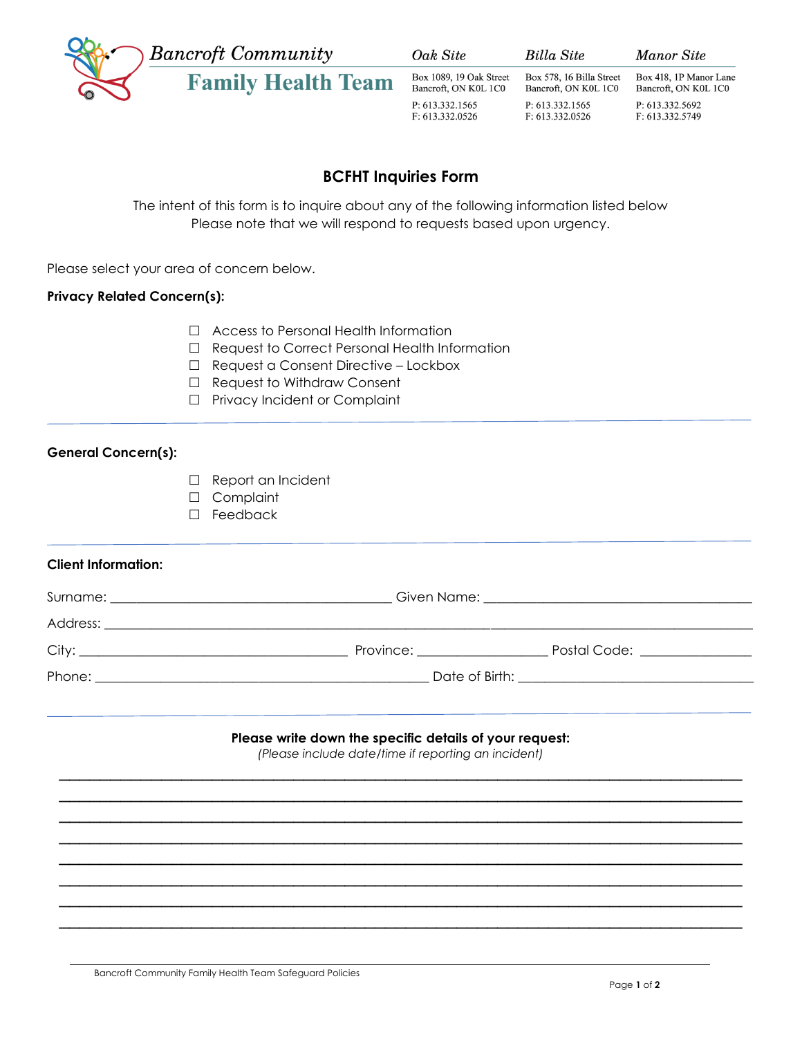

Oak Site

Box 1089, 19 Oak Street

**Billa Site** 

P: 613.332.1565

F: 613.332.0526

Box 578, 16 Billa Street

Bancroft, ON K0L 1C0

**Manor Site** 

Box 418, 1P Manor Lane Bancroft, ON K0L 1C0 P: 613.332.5692 F: 613.332.5749

# **BCFHT Inquiries Form**

The intent of this form is to inquire about any of the following information listed below Please note that we will respond to requests based upon urgency.

Please select your area of concern below.

### **Privacy Related Concern(s):**

- □ Access to Personal Health Information
- □ Request to Correct Personal Health Information
- Request a Consent Directive Lockbox
- □ Request to Withdraw Consent
- □ Privacy Incident or Complaint

### **General Concern(s):**

- □ Report an Incident
- Complaint
- □ Feedback

## **Client Information:**

| Address: | <u> 1980 - John Stone, Amerikaansk politiker (* 1918)</u>                                                                                                                                                                     |                                        |  |
|----------|-------------------------------------------------------------------------------------------------------------------------------------------------------------------------------------------------------------------------------|----------------------------------------|--|
| City:    | Province: The contract of the contract of the contract of the contract of the contract of the contract of the contract of the contract of the contract of the contract of the contract of the contract of the contract of the | Postal Code: The Contract of the Code: |  |
|          |                                                                                                                                                                                                                               |                                        |  |
|          |                                                                                                                                                                                                                               |                                        |  |

#### **Please write down the specific details of your request:**

*(Please include date/time if reporting an incident)* \_\_\_\_\_\_\_\_\_\_\_\_\_\_\_\_\_\_\_\_\_\_\_\_\_\_\_\_\_\_\_\_\_\_\_\_\_\_\_\_\_\_\_\_\_\_\_\_\_\_\_\_\_\_\_\_\_\_\_\_\_\_\_\_\_\_\_

\_\_\_\_\_\_\_\_\_\_\_\_\_\_\_\_\_\_\_\_\_\_\_\_\_\_\_\_\_\_\_\_\_\_\_\_\_\_\_\_\_\_\_\_\_\_\_\_\_\_\_\_\_\_\_\_\_\_\_\_\_\_\_\_\_\_\_  $\_$  , and the contribution of the contribution of  $\mathcal{L}_1$  , and the contribution of  $\mathcal{L}_2$  , and  $\mathcal{L}_3$  $\_$  , and the contribution of the contribution of  $\mathcal{L}_1$  , and  $\mathcal{L}_2$  , and  $\mathcal{L}_3$  , and  $\mathcal{L}_4$  , and  $\mathcal{L}_5$  , and  $\mathcal{L}_6$  , and  $\mathcal{L}_7$  , and  $\mathcal{L}_8$  , and  $\mathcal{L}_7$  , and  $\mathcal{L}_8$  , and  $\mathcal{L}_9$  ,  $\overline{\phantom{a}}$  , and the contribution of the contribution of the contribution of the contribution of the contribution of the contribution of the contribution of the contribution of the contribution of the contribution of the  $\_$  , and the contribution of the contribution of  $\mathcal{L}_1$  , and the contribution of  $\mathcal{L}_2$  , and  $\mathcal{L}_3$  $\_$  , and the contribution of the contribution of  $\mathcal{L}_1$  , and the contribution of  $\mathcal{L}_2$  , and  $\mathcal{L}_3$  $\_$  , and the contribution of the contribution of  $\mathcal{L}_1$  , and the contribution of  $\mathcal{L}_2$  , and  $\mathcal{L}_3$